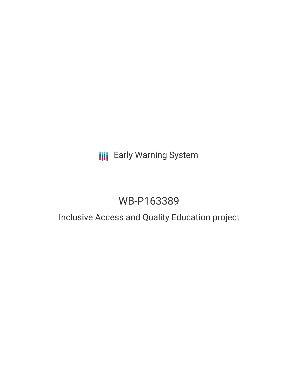# **III** Early Warning System

# WB-P163389

### Inclusive Access and Quality Education project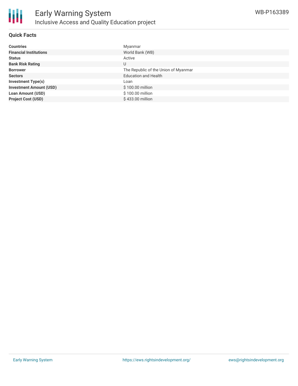

#### **Quick Facts**

| <b>Countries</b>               | Myanmar                              |
|--------------------------------|--------------------------------------|
| <b>Financial Institutions</b>  | World Bank (WB)                      |
| <b>Status</b>                  | Active                               |
| <b>Bank Risk Rating</b>        | U                                    |
| <b>Borrower</b>                | The Republic of the Union of Myanmar |
| <b>Sectors</b>                 | <b>Education and Health</b>          |
| <b>Investment Type(s)</b>      | Loan                                 |
| <b>Investment Amount (USD)</b> | \$100.00 million                     |
| <b>Loan Amount (USD)</b>       | \$100.00 million                     |
| <b>Project Cost (USD)</b>      | \$433.00 million                     |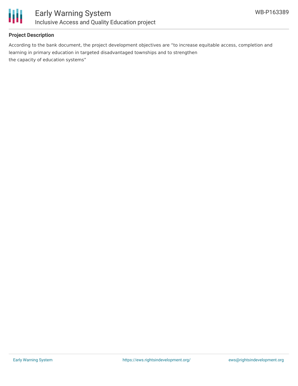

#### **Project Description**

According to the bank document, the project development objectives are "to increase equitable access, completion and learning in primary education in targeted disadvantaged townships and to strengthen the capacity of education systems"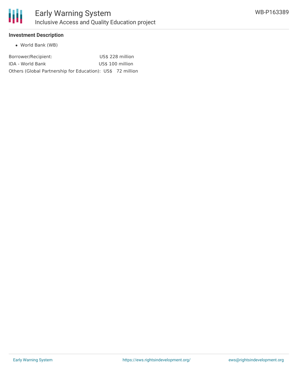

#### **Investment Description**

World Bank (WB)

| Borrower/Recipient:                                        | US\$ 228 million |
|------------------------------------------------------------|------------------|
| IDA - World Bank                                           | US\$ 100 million |
| Others (Global Partnership for Education): US\$ 72 million |                  |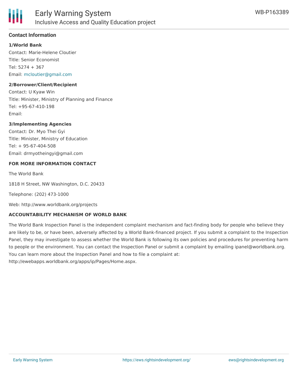

#### **Contact Information**

#### **1/World Bank**

Contact: Marie-Helene Cloutier Title: Senior Economist Tel: 5274 + 367 Email: [mcloutier@gmail.com](mailto:mcloutier@gmail.com)

#### **2/Borrower/Client/Recipient**

Contact: U Kyaw Win Title: Minister, Ministry of Planning and Finance Tel: +95-67-410-198 Email:

#### **3/Implementing Agencies**

Contact: Dr. Myo Thei Gyi Title: Minister, Ministry of Education Tel: + 95-67-404-508 Email: drmyotheingyi@gmail.com

#### **FOR MORE INFORMATION CONTACT**

The World Bank

1818 H Street, NW Washington, D.C. 20433

Telephone: (202) 473-1000

Web: http://www.worldbank.org/projects

#### **ACCOUNTABILITY MECHANISM OF WORLD BANK**

The World Bank Inspection Panel is the independent complaint mechanism and fact-finding body for people who believe they are likely to be, or have been, adversely affected by a World Bank-financed project. If you submit a complaint to the Inspection Panel, they may investigate to assess whether the World Bank is following its own policies and procedures for preventing harm to people or the environment. You can contact the Inspection Panel or submit a complaint by emailing ipanel@worldbank.org. You can learn more about the Inspection Panel and how to file a complaint at: http://ewebapps.worldbank.org/apps/ip/Pages/Home.aspx.